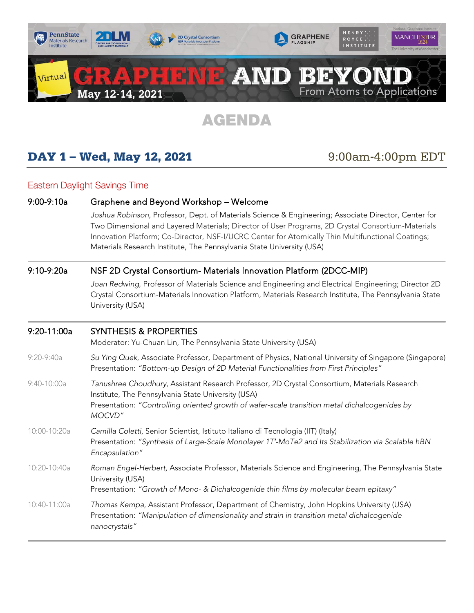

# AGENDA

# **DAY 1 – Wed, May 12, 2021** 9:00am-4:00pm EDT

## Eastern Daylight Savings Time

## 9:00-9:10a Graphene and Beyond Workshop – Welcome

*Joshua Robinson*, Professor, Dept. of Materials Science & Engineering; Associate Director, Center for Two Dimensional and Layered Materials; Director of User Programs, 2D Crystal Consortium-Materials Innovation Platform; Co-Director, NSF-I/UCRC Center for Atomically Thin Multifunctional Coatings; Materials Research Institute, The Pennsylvania State University (USA)

## 9:10-9:20a NSF 2D Crystal Consortium- Materials Innovation Platform (2DCC-MIP)

*Joan Redwing*, Professor of Materials Science and Engineering and Electrical Engineering; Director 2D Crystal Consortium-Materials Innovation Platform, Materials Research Institute, The Pennsylvania State University (USA)

### 9:20-11:00a SYNTHESIS & PROPERTIES

Moderator: Yu-Chuan Lin, The Pennsylvania State University (USA)

- 9:20-9:40a *Su Ying Quek*, Associate Professor, Department of Physics, National University of Singapore (Singapore) Presentation: *"Bottom-up Design of 2D Material Functionalities from First Principles"*
- 9:40-10:00a *Tanushree Choudhury*, Assistant Research Professor, 2D Crystal Consortium, Materials Research Institute, The Pennsylvania State University (USA) Presentation: *"Controlling oriented growth of wafer-scale transition metal dichalcogenides by MOCVD"*
- 10:00-10:20a *Camilla Coletti*, Senior Scientist, Istituto Italiano di Tecnologia (IIT) (Italy) Presentation: *"Synthesis of Large-Scale Monolayer 1T′-MoTe2 and Its Stabilization via Scalable hBN Encapsulation"*
- 10:20-10:40a *Roman Engel-Herbert,* Associate Professor, Materials Science and Engineering, The Pennsylvania State University (USA)
	- Presentation: *"Growth of Mono- & Dichalcogenide thin films by molecular beam epitaxy"*
- 10:40-11:00a *Thomas Kempa*, Assistant Professor, Department of Chemistry, John Hopkins University (USA) Presentation: *"Manipulation of dimensionality and strain in transition metal dichalcogenide nanocrystals"*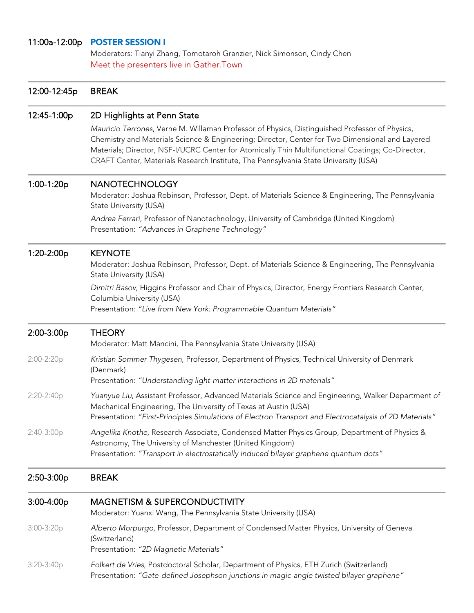## 11:00a-12:00p POSTER SESSION I

Moderators: Tianyi Zhang, Tomotaroh Granzier, Nick Simonson, Cindy Chen Meet the presenters live in Gather.Town

| 12:00-12:45p | <b>BREAK</b>                                                                                                                                                                                                                                                                                                                                                                                                                 |
|--------------|------------------------------------------------------------------------------------------------------------------------------------------------------------------------------------------------------------------------------------------------------------------------------------------------------------------------------------------------------------------------------------------------------------------------------|
| 12:45-1:00p  | 2D Highlights at Penn State<br>Mauricio Terrones, Verne M. Willaman Professor of Physics, Distinguished Professor of Physics,<br>Chemistry and Materials Science & Engineering; Director, Center for Two Dimensional and Layered<br>Materials; Director, NSF-I/UCRC Center for Atomically Thin Multifunctional Coatings; Co-Director,<br>CRAFT Center, Materials Research Institute, The Pennsylvania State University (USA) |
| 1:00-1:20p   | <b>NANOTECHNOLOGY</b><br>Moderator: Joshua Robinson, Professor, Dept. of Materials Science & Engineering, The Pennsylvania<br>State University (USA)                                                                                                                                                                                                                                                                         |
|              | Andrea Ferrari, Professor of Nanotechnology, University of Cambridge (United Kingdom)<br>Presentation: "Advances in Graphene Technology"                                                                                                                                                                                                                                                                                     |
| 1:20-2:00p   | <b>KEYNOTE</b><br>Moderator: Joshua Robinson, Professor, Dept. of Materials Science & Engineering, The Pennsylvania<br>State University (USA)                                                                                                                                                                                                                                                                                |
|              | Dimitri Basov, Higgins Professor and Chair of Physics; Director, Energy Frontiers Research Center,<br>Columbia University (USA)<br>Presentation: "Live from New York: Programmable Quantum Materials"                                                                                                                                                                                                                        |
| 2:00-3:00p   | <b>THEORY</b><br>Moderator: Matt Mancini, The Pennsylvania State University (USA)                                                                                                                                                                                                                                                                                                                                            |
| 2:00-2:20p   | Kristian Sommer Thygesen, Professor, Department of Physics, Technical University of Denmark<br>(Denmark)<br>Presentation: "Understanding light-matter interactions in 2D materials"                                                                                                                                                                                                                                          |
| 2:20-2:40p   | Yuanyue Liu, Assistant Professor, Advanced Materials Science and Engineering, Walker Department of<br>Mechanical Engineering, The University of Texas at Austin (USA)<br>Presentation: "First-Principles Simulations of Electron Transport and Electrocatalysis of 2D Materials"                                                                                                                                             |
| $2:40-3:00p$ | Angelika Knothe, Research Associate, Condensed Matter Physics Group, Department of Physics &<br>Astronomy, The University of Manchester (United Kingdom)<br>Presentation: "Transport in electrostatically induced bilayer graphene quantum dots"                                                                                                                                                                             |
| $2:50-3:00p$ | <b>BREAK</b>                                                                                                                                                                                                                                                                                                                                                                                                                 |
| $3:00-4:00p$ | <b>MAGNETISM &amp; SUPERCONDUCTIVITY</b><br>Moderator: Yuanxi Wang, The Pennsylvania State University (USA)                                                                                                                                                                                                                                                                                                                  |
| $3:00-3:20p$ | Alberto Morpurgo, Professor, Department of Condensed Matter Physics, University of Geneva<br>(Switzerland)<br>Presentation: "2D Magnetic Materials"                                                                                                                                                                                                                                                                          |
| $3:20-3:40p$ | Folkert de Vries, Postdoctoral Scholar, Department of Physics, ETH Zurich (Switzerland)<br>Presentation: "Gate-defined Josephson junctions in magic-angle twisted bilayer graphene"                                                                                                                                                                                                                                          |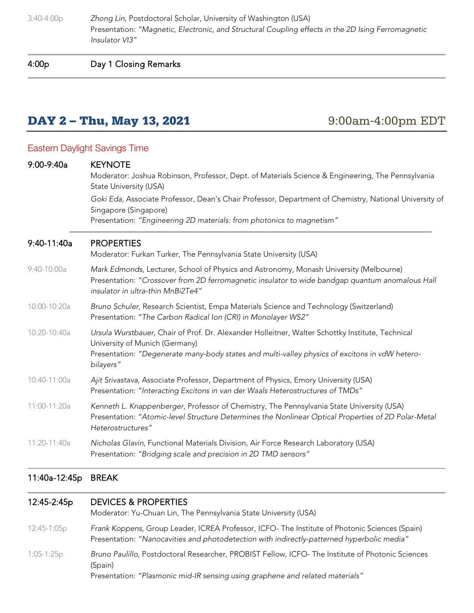3:40-4:00p *Zhong Lin*, Postdoctoral Scholar, University of Washington (USA) Presentation: *"Magnetic, Electronic, and Structural Coupling effects in the 2D Ising Ferromagnetic Insulator VI3"*

4:00p Day 1 Closing Remarks

## **DAY 2 – Thu, May 13, 2021** 9:00am-4:00pm EDT

## Eastern Daylight Savings Time

| $9:00-9:40a$  | <b>KEYNOTE</b><br>Moderator: Joshua Robinson, Professor, Dept. of Materials Science & Engineering, The Pennsylvania<br>State University (USA)<br>Goki Eda, Associate Professor, Dean's Chair Professor, Department of Chemistry, National University of<br>Singapore (Singapore)<br>Presentation: "Engineering 2D materials: from photonics to magnetism" |  |
|---------------|-----------------------------------------------------------------------------------------------------------------------------------------------------------------------------------------------------------------------------------------------------------------------------------------------------------------------------------------------------------|--|
| 9:40-11:40a   | <b>PROPERTIES</b><br>Moderator: Furkan Turker, The Pennsylvania State University (USA)                                                                                                                                                                                                                                                                    |  |
| $9:40-10:00a$ | Mark Edmonds, Lecturer, School of Physics and Astronomy, Monash University (Melbourne)<br>Presentation: "Crossover from 2D ferromagnetic insulator to wide bandgap quantum anomalous Hall<br>insulator in ultra-thin MnBi2Te4"                                                                                                                            |  |
| 10:00-10:20a  | Bruno Schuler, Research Scientist, Empa Materials Science and Technology (Switzerland)<br>Presentation: "The Carbon Radical Ion (CRI) in Monolayer WS2"                                                                                                                                                                                                   |  |
| 10:20-10:40a  | Ursula Wurstbauer, Chair of Prof. Dr. Alexander Holleitner, Walter Schottky Institute, Technical<br>University of Munich (Germany)<br>Presentation: "Degenerate many-body states and multi-valley physics of excitons in vdW hetero-<br>bilayers"                                                                                                         |  |
| 10:40-11:00a  | Ajit Srivastava, Associate Professor, Department of Physics, Emory University (USA)<br>Presentation: "Interacting Excitons in van der Waals Heterostructures of TMDs"                                                                                                                                                                                     |  |
| 11:00-11:20a  | Kenneth L. Knappenberger, Professor of Chemistry, The Pennsylvania State University (USA)<br>Presentation: "Atomic-level Structure Determines the Nonlinear Optical Properties of 2D Polar-Metal<br>Heterostructures"                                                                                                                                     |  |
| 11:20-11:40a  | Nicholas Glavin, Functional Materials Division, Air Force Research Laboratory (USA)<br>Presentation: "Bridging scale and precision in 2D TMD sensors"                                                                                                                                                                                                     |  |

## 11:40a-12:45p BREAK

### 12:45-2:45p DEVICES & PROPERTIES

Moderator: Yu-Chuan Lin, The Pennsylvania State University (USA)

12:45-1:05p *Frank Koppens*, Group Leader, ICREA Professor, ICFO- The Institute of Photonic Sciences (Spain) Presentation: *"Nanocavities and photodetection with indirectly-patterned hyperbolic media"*

1:05-1:25p *Bruno Paulillo*, Postdoctoral Researcher, PROBIST Fellow, ICFO- The Institute of Photonic Sciences (Spain)

Presentation: *"Plasmonic mid-IR sensing using graphene and related materials"*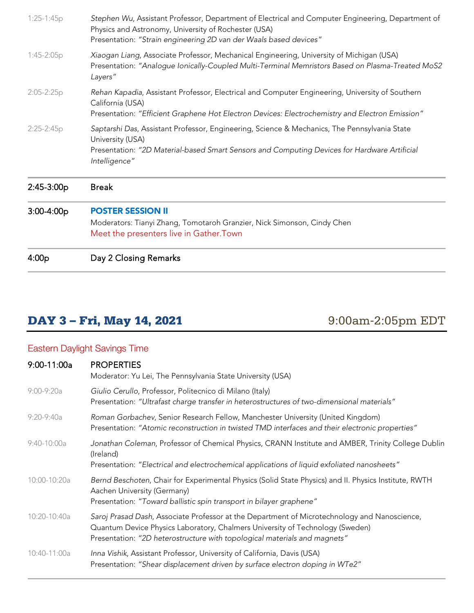| 4:00p          | Day 2 Closing Remarks                                                                                                                                                                                                             |
|----------------|-----------------------------------------------------------------------------------------------------------------------------------------------------------------------------------------------------------------------------------|
| $3:00-4:00p$   | <b>POSTER SESSION II</b><br>Moderators: Tianyi Zhang, Tomotaroh Granzier, Nick Simonson, Cindy Chen<br>Meet the presenters live in Gather. Town                                                                                   |
| 2:45-3:00p     | <b>Break</b>                                                                                                                                                                                                                      |
| 2:25-2:45p     | Saptarshi Das, Assistant Professor, Engineering, Science & Mechanics, The Pennsylvania State<br>University (USA)<br>Presentation: "2D Material-based Smart Sensors and Computing Devices for Hardware Artificial<br>Intelligence" |
| $2:05 - 2:25p$ | Rehan Kapadia, Assistant Professor, Electrical and Computer Engineering, University of Southern<br>California (USA)<br>Presentation: "Efficient Graphene Hot Electron Devices: Electrochemistry and Electron Emission"            |
| $1:45-2:05p$   | Xiaogan Liang, Associate Professor, Mechanical Engineering, University of Michigan (USA)<br>Presentation: "Analogue Ionically-Coupled Multi-Terminal Memristors Based on Plasma-Treated MoS2<br>Layers"                           |
| $1:25-1:45p$   | Stephen Wu, Assistant Professor, Department of Electrical and Computer Engineering, Department of<br>Physics and Astronomy, University of Rochester (USA)<br>Presentation: "Strain engineering 2D van der Waals based devices"    |

# DAY 3 – Fri, May 14, 2021 9:00am-2:05pm EDT

## Eastern Daylight Savings Time

| 9:00-11:00a    | <b>PROPERTIES</b><br>Moderator: Yu Lei, The Pennsylvania State University (USA)                                                                                                                                                                            |
|----------------|------------------------------------------------------------------------------------------------------------------------------------------------------------------------------------------------------------------------------------------------------------|
| $9:00 - 9:20a$ | Giulio Cerullo, Professor, Politecnico di Milano (Italy)<br>Presentation: "Ultrafast charge transfer in heterostructures of two-dimensional materials"                                                                                                     |
| $9:20-9:40a$   | Roman Gorbachev, Senior Research Fellow, Manchester University (United Kingdom)<br>Presentation: "Atomic reconstruction in twisted TMD interfaces and their electronic properties"                                                                         |
| $9:40-10:00a$  | Jonathan Coleman, Professor of Chemical Physics, CRANN Institute and AMBER, Trinity College Dublin<br>(Ireland)<br>Presentation: "Electrical and electrochemical applications of liquid exfoliated nanosheets"                                             |
| 10:00-10:20a   | Bernd Beschoten, Chair for Experimental Physics (Solid State Physics) and II. Physics Institute, RWTH<br>Aachen University (Germany)<br>Presentation: "Toward ballistic spin transport in bilayer graphene"                                                |
| 10:20-10:40a   | Saroj Prasad Dash, Associate Professor at the Department of Microtechnology and Nanoscience,<br>Quantum Device Physics Laboratory, Chalmers University of Technology (Sweden)<br>Presentation: "2D heterostructure with topological materials and magnets" |
| 10:40-11:00a   | Inna Vishik, Assistant Professor, University of California, Davis (USA)<br>Presentation: "Shear displacement driven by surface electron doping in WTe2"                                                                                                    |